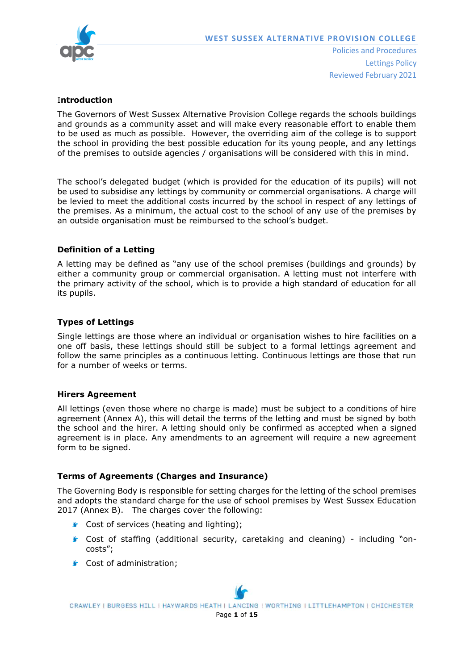

## I**ntroduction**

The Governors of West Sussex Alternative Provision College regards the schools buildings and grounds as a community asset and will make every reasonable effort to enable them to be used as much as possible. However, the overriding aim of the college is to support the school in providing the best possible education for its young people, and any lettings of the premises to outside agencies / organisations will be considered with this in mind.

The school's delegated budget (which is provided for the education of its pupils) will not be used to subsidise any lettings by community or commercial organisations. A charge will be levied to meet the additional costs incurred by the school in respect of any lettings of the premises. As a minimum, the actual cost to the school of any use of the premises by an outside organisation must be reimbursed to the school's budget.

## **Definition of a Letting**

A letting may be defined as "any use of the school premises (buildings and grounds) by either a community group or commercial organisation. A letting must not interfere with the primary activity of the school, which is to provide a high standard of education for all its pupils.

## **Types of Lettings**

Single lettings are those where an individual or organisation wishes to hire facilities on a one off basis, these lettings should still be subject to a formal lettings agreement and follow the same principles as a continuous letting. Continuous lettings are those that run for a number of weeks or terms.

#### **Hirers Agreement**

All lettings (even those where no charge is made) must be subject to a conditions of hire agreement (Annex A), this will detail the terms of the letting and must be signed by both the school and the hirer. A letting should only be confirmed as accepted when a signed agreement is in place. Any amendments to an agreement will require a new agreement form to be signed.

## **Terms of Agreements (Charges and Insurance)**

The Governing Body is responsible for setting charges for the letting of the school premises and adopts the standard charge for the use of school premises by West Sussex Education 2017 (Annex B). The charges cover the following:

- Cost of services (heating and lighting);
- Cost of staffing (additional security, caretaking and cleaning) including "oncosts";
- Cost of administration;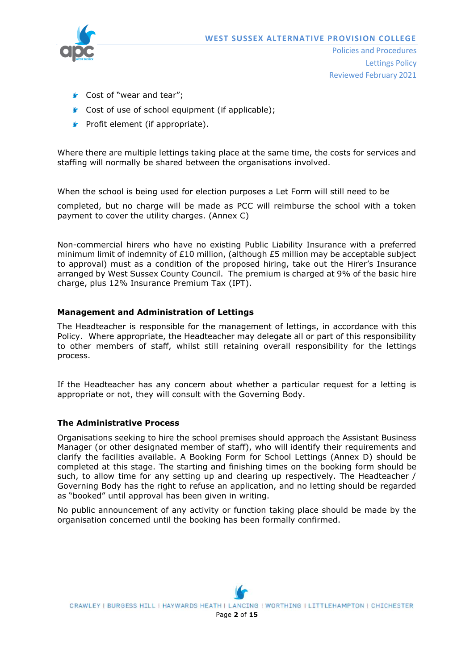

- Cost of "wear and tear":
- Cost of use of school equipment (if applicable);
- $\blacktriangleright$  Profit element (if appropriate).

Where there are multiple lettings taking place at the same time, the costs for services and staffing will normally be shared between the organisations involved.

When the school is being used for election purposes a Let Form will still need to be

completed, but no charge will be made as PCC will reimburse the school with a token payment to cover the utility charges. (Annex C)

Non-commercial hirers who have no existing Public Liability Insurance with a preferred minimum limit of indemnity of £10 million, (although £5 million may be acceptable subject to approval) must as a condition of the proposed hiring, take out the Hirer's Insurance arranged by West Sussex County Council. The premium is charged at 9% of the basic hire charge, plus 12% Insurance Premium Tax (IPT).

### **Management and Administration of Lettings**

The Headteacher is responsible for the management of lettings, in accordance with this Policy. Where appropriate, the Headteacher may delegate all or part of this responsibility to other members of staff, whilst still retaining overall responsibility for the lettings process.

If the Headteacher has any concern about whether a particular request for a letting is appropriate or not, they will consult with the Governing Body.

#### **The Administrative Process**

Organisations seeking to hire the school premises should approach the Assistant Business Manager (or other designated member of staff), who will identify their requirements and clarify the facilities available. A Booking Form for School Lettings (Annex D) should be completed at this stage. The starting and finishing times on the booking form should be such, to allow time for any setting up and clearing up respectively. The Headteacher / Governing Body has the right to refuse an application, and no letting should be regarded as "booked" until approval has been given in writing.

No public announcement of any activity or function taking place should be made by the organisation concerned until the booking has been formally confirmed.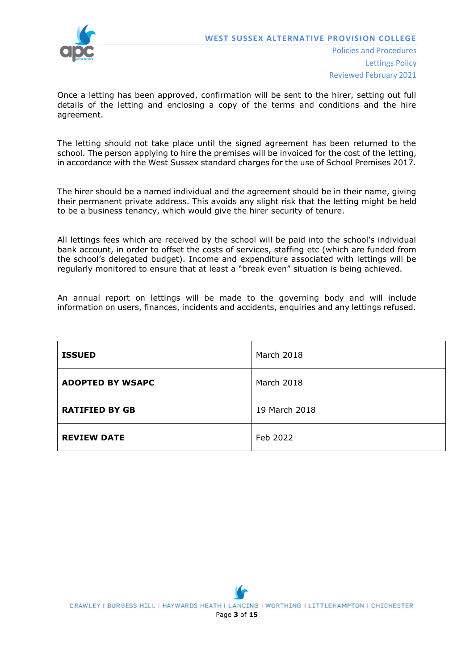

Once a letting has been approved, confirmation will be sent to the hirer, setting out full details of the letting and enclosing a copy of the terms and conditions and the hire agreement.

The letting should not take place until the signed agreement has been returned to the school. The person applying to hire the premises will be invoiced for the cost of the letting, in accordance with the West Sussex standard charges for the use of School Premises 2017.

The hirer should be a named individual and the agreement should be in their name, giving their permanent private address. This avoids any slight risk that the letting might be held to be a business tenancy, which would give the hirer security of tenure.

All lettings fees which are received by the school will be paid into the school's individual bank account, in order to offset the costs of services, staffing etc (which are funded from the school's delegated budget). Income and expenditure associated with lettings will be regularly monitored to ensure that at least a "break even" situation is being achieved.

An annual report on lettings will be made to the governing body and will include information on users, finances, incidents and accidents, enquiries and any lettings refused.

| <b>ISSUED</b>           | March 2018    |
|-------------------------|---------------|
| <b>ADOPTED BY WSAPC</b> | March 2018    |
| <b>RATIFIED BY GB</b>   | 19 March 2018 |
| <b>REVIEW DATE</b>      | Feb 2022      |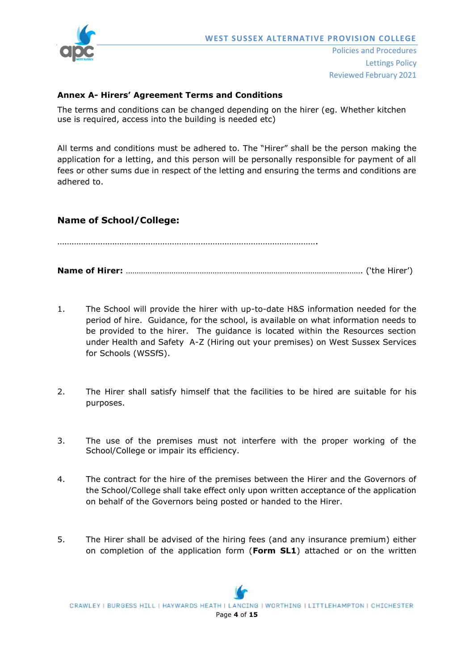

## **Annex A- Hirers' Agreement Terms and Conditions**

The terms and conditions can be changed depending on the hirer (eg. Whether kitchen use is required, access into the building is needed etc)

All terms and conditions must be adhered to. The "Hirer" shall be the person making the application for a letting, and this person will be personally responsible for payment of all fees or other sums due in respect of the letting and ensuring the terms and conditions are adhered to.

# **Name of School/College:**

……………………………………………………………………………………………….

**Name of Hirer:** ………………………………………………………………………………………………. ('the Hirer')

- 1. The School will provide the hirer with up-to-date H&S information needed for the period of hire. Guidance, for the school, is available on what information needs to be provided to the hirer. The guidance is located within the Resources section under Health and Safety A-Z (Hiring out your premises) on West Sussex Services for Schools (WSSfS).
- 2. The Hirer shall satisfy himself that the facilities to be hired are suitable for his purposes.
- 3. The use of the premises must not interfere with the proper working of the School/College or impair its efficiency.
- 4. The contract for the hire of the premises between the Hirer and the Governors of the School/College shall take effect only upon written acceptance of the application on behalf of the Governors being posted or handed to the Hirer.
- 5. The Hirer shall be advised of the hiring fees (and any insurance premium) either on completion of the application form (**Form SL1**) attached or on the written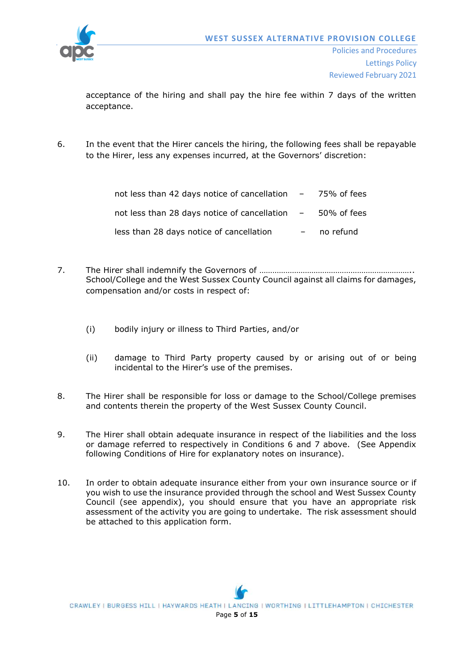

acceptance of the hiring and shall pay the hire fee within 7 days of the written acceptance.

6. In the event that the Hirer cancels the hiring, the following fees shall be repayable to the Hirer, less any expenses incurred, at the Governors' discretion:

| not less than 42 days notice of cancellation $-$ 75% of fees |           |
|--------------------------------------------------------------|-----------|
| not less than 28 days notice of cancellation $-$ 50% of fees |           |
| less than 28 days notice of cancellation                     | no refund |

- 7. The Hirer shall indemnify the Governors of …………………………………………………………….. School/College and the West Sussex County Council against all claims for damages, compensation and/or costs in respect of:
	- (i) bodily injury or illness to Third Parties, and/or
	- (ii) damage to Third Party property caused by or arising out of or being incidental to the Hirer's use of the premises.
- 8. The Hirer shall be responsible for loss or damage to the School/College premises and contents therein the property of the West Sussex County Council.
- 9. The Hirer shall obtain adequate insurance in respect of the liabilities and the loss or damage referred to respectively in Conditions 6 and 7 above. (See Appendix following Conditions of Hire for explanatory notes on insurance).
- 10. In order to obtain adequate insurance either from your own insurance source or if you wish to use the insurance provided through the school and West Sussex County Council (see appendix), you should ensure that you have an appropriate risk assessment of the activity you are going to undertake. The risk assessment should be attached to this application form.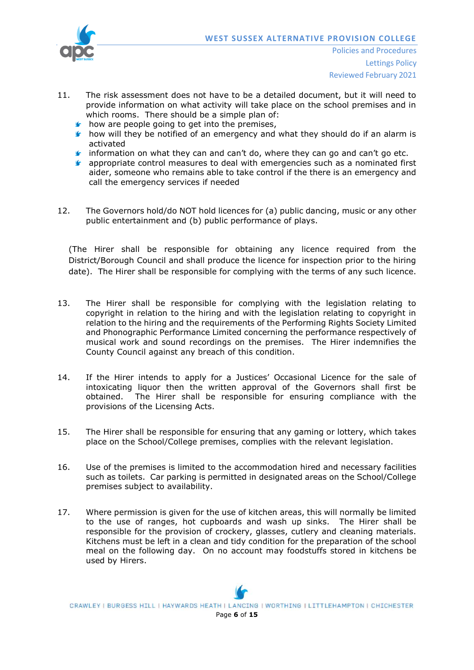

- 11. The risk assessment does not have to be a detailed document, but it will need to provide information on what activity will take place on the school premises and in which rooms. There should be a simple plan of:
	- $\bullet$  how are people going to get into the premises,
	- $\blacktriangleright$  how will they be notified of an emergency and what they should do if an alarm is activated
	- **f** information on what they can and can't do, where they can go and can't go etc.
	- **F** appropriate control measures to deal with emergencies such as a nominated first aider, someone who remains able to take control if the there is an emergency and call the emergency services if needed
- 12. The Governors hold/do NOT hold licences for (a) public dancing, music or any other public entertainment and (b) public performance of plays.

(The Hirer shall be responsible for obtaining any licence required from the District/Borough Council and shall produce the licence for inspection prior to the hiring date). The Hirer shall be responsible for complying with the terms of any such licence.

- 13. The Hirer shall be responsible for complying with the legislation relating to copyright in relation to the hiring and with the legislation relating to copyright in relation to the hiring and the requirements of the Performing Rights Society Limited and Phonographic Performance Limited concerning the performance respectively of musical work and sound recordings on the premises. The Hirer indemnifies the County Council against any breach of this condition.
- 14. If the Hirer intends to apply for a Justices' Occasional Licence for the sale of intoxicating liquor then the written approval of the Governors shall first be obtained. The Hirer shall be responsible for ensuring compliance with the provisions of the Licensing Acts.
- 15. The Hirer shall be responsible for ensuring that any gaming or lottery, which takes place on the School/College premises, complies with the relevant legislation.
- 16. Use of the premises is limited to the accommodation hired and necessary facilities such as toilets. Car parking is permitted in designated areas on the School/College premises subject to availability.
- 17. Where permission is given for the use of kitchen areas, this will normally be limited to the use of ranges, hot cupboards and wash up sinks. The Hirer shall be responsible for the provision of crockery, glasses, cutlery and cleaning materials. Kitchens must be left in a clean and tidy condition for the preparation of the school meal on the following day. On no account may foodstuffs stored in kitchens be used by Hirers.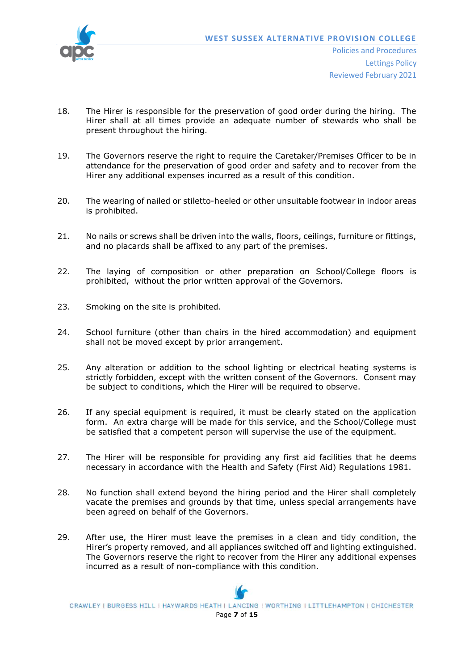

Reviewed February 2021

- 18. The Hirer is responsible for the preservation of good order during the hiring. The Hirer shall at all times provide an adequate number of stewards who shall be present throughout the hiring.
- 19. The Governors reserve the right to require the Caretaker/Premises Officer to be in attendance for the preservation of good order and safety and to recover from the Hirer any additional expenses incurred as a result of this condition.
- 20. The wearing of nailed or stiletto-heeled or other unsuitable footwear in indoor areas is prohibited.
- 21. No nails or screws shall be driven into the walls, floors, ceilings, furniture or fittings, and no placards shall be affixed to any part of the premises.
- 22. The laying of composition or other preparation on School/College floors is prohibited, without the prior written approval of the Governors.
- 23. Smoking on the site is prohibited.
- 24. School furniture (other than chairs in the hired accommodation) and equipment shall not be moved except by prior arrangement.
- 25. Any alteration or addition to the school lighting or electrical heating systems is strictly forbidden, except with the written consent of the Governors. Consent may be subject to conditions, which the Hirer will be required to observe.
- 26. If any special equipment is required, it must be clearly stated on the application form. An extra charge will be made for this service, and the School/College must be satisfied that a competent person will supervise the use of the equipment.
- 27. The Hirer will be responsible for providing any first aid facilities that he deems necessary in accordance with the Health and Safety (First Aid) Regulations 1981.
- 28. No function shall extend beyond the hiring period and the Hirer shall completely vacate the premises and grounds by that time, unless special arrangements have been agreed on behalf of the Governors.
- 29. After use, the Hirer must leave the premises in a clean and tidy condition, the Hirer's property removed, and all appliances switched off and lighting extinguished. The Governors reserve the right to recover from the Hirer any additional expenses incurred as a result of non-compliance with this condition.

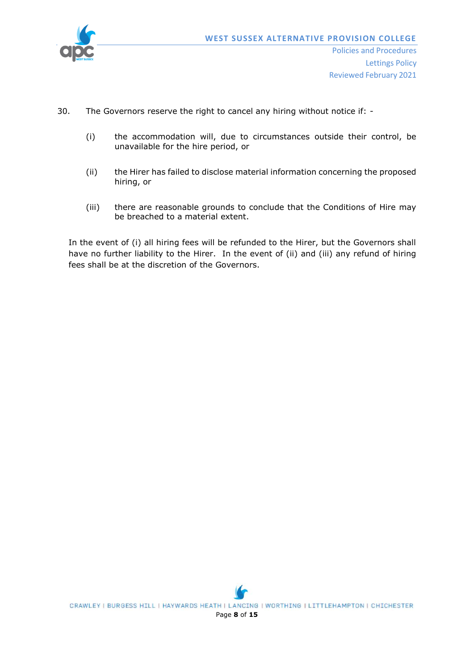

Reviewed February 2021

- 30. The Governors reserve the right to cancel any hiring without notice if:
	- (i) the accommodation will, due to circumstances outside their control, be unavailable for the hire period, or
	- (ii) the Hirer has failed to disclose material information concerning the proposed hiring, or
	- (iii) there are reasonable grounds to conclude that the Conditions of Hire may be breached to a material extent.

In the event of (i) all hiring fees will be refunded to the Hirer, but the Governors shall have no further liability to the Hirer. In the event of (ii) and (iii) any refund of hiring fees shall be at the discretion of the Governors.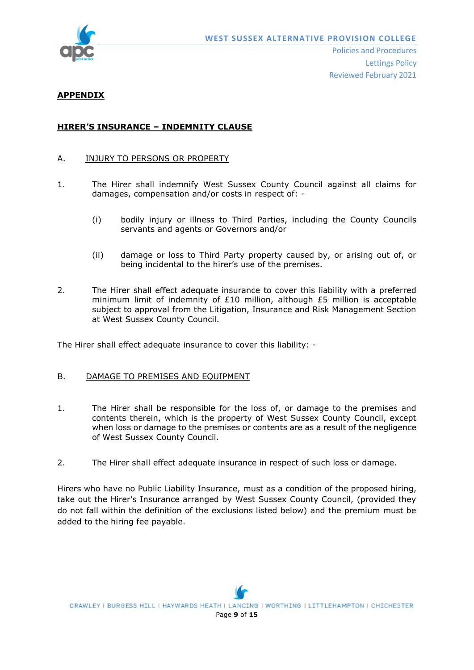

## **APPENDIX**

## **HIRER'S INSURANCE – INDEMNITY CLAUSE**

### A. INJURY TO PERSONS OR PROPERTY

- 1. The Hirer shall indemnify West Sussex County Council against all claims for damages, compensation and/or costs in respect of: -
	- (i) bodily injury or illness to Third Parties, including the County Councils servants and agents or Governors and/or
	- (ii) damage or loss to Third Party property caused by, or arising out of, or being incidental to the hirer's use of the premises.
- 2. The Hirer shall effect adequate insurance to cover this liability with a preferred minimum limit of indemnity of £10 million, although £5 million is acceptable subject to approval from the Litigation, Insurance and Risk Management Section at West Sussex County Council.

The Hirer shall effect adequate insurance to cover this liability: -

#### B. DAMAGE TO PREMISES AND EQUIPMENT

- 1. The Hirer shall be responsible for the loss of, or damage to the premises and contents therein, which is the property of West Sussex County Council, except when loss or damage to the premises or contents are as a result of the negligence of West Sussex County Council.
- 2. The Hirer shall effect adequate insurance in respect of such loss or damage.

Hirers who have no Public Liability Insurance, must as a condition of the proposed hiring, take out the Hirer's Insurance arranged by West Sussex County Council, (provided they do not fall within the definition of the exclusions listed below) and the premium must be added to the hiring fee payable.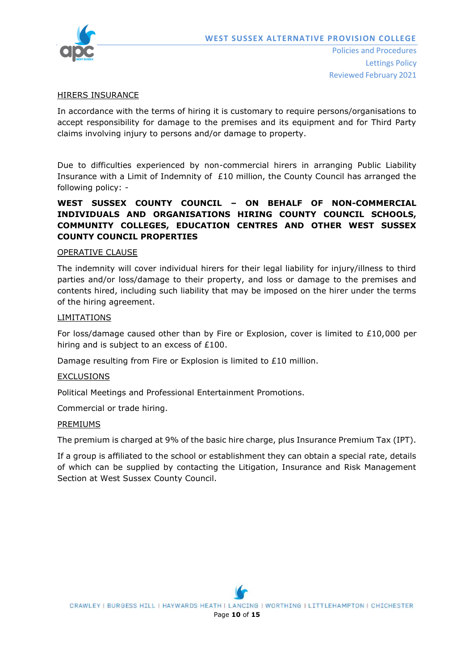

#### HIRERS INSURANCE

In accordance with the terms of hiring it is customary to require persons/organisations to accept responsibility for damage to the premises and its equipment and for Third Party claims involving injury to persons and/or damage to property.

Due to difficulties experienced by non-commercial hirers in arranging Public Liability Insurance with a Limit of Indemnity of  $£10$  million, the County Council has arranged the following policy: -

# **WEST SUSSEX COUNTY COUNCIL – ON BEHALF OF NON-COMMERCIAL INDIVIDUALS AND ORGANISATIONS HIRING COUNTY COUNCIL SCHOOLS, COMMUNITY COLLEGES, EDUCATION CENTRES AND OTHER WEST SUSSEX COUNTY COUNCIL PROPERTIES**

### OPERATIVE CLAUSE

The indemnity will cover individual hirers for their legal liability for injury/illness to third parties and/or loss/damage to their property, and loss or damage to the premises and contents hired, including such liability that may be imposed on the hirer under the terms of the hiring agreement.

#### LIMITATIONS

For loss/damage caused other than by Fire or Explosion, cover is limited to £10,000 per hiring and is subject to an excess of £100.

Damage resulting from Fire or Explosion is limited to £10 million.

#### **EXCLUSIONS**

Political Meetings and Professional Entertainment Promotions.

Commercial or trade hiring.

#### PREMIUMS

The premium is charged at 9% of the basic hire charge, plus Insurance Premium Tax (IPT).

If a group is affiliated to the school or establishment they can obtain a special rate, details of which can be supplied by contacting the Litigation, Insurance and Risk Management Section at West Sussex County Council.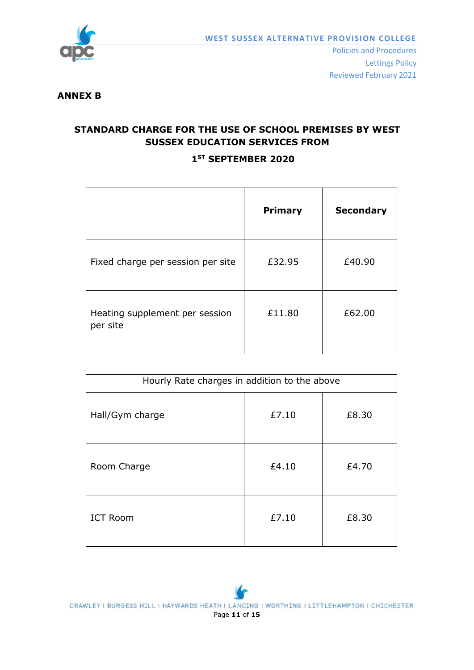

## **ANNEX B**

# **STANDARD CHARGE FOR THE USE OF SCHOOL PREMISES BY WEST SUSSEX EDUCATION SERVICES FROM**

# **1 ST SEPTEMBER 2020**

|                                            | <b>Primary</b> | <b>Secondary</b> |
|--------------------------------------------|----------------|------------------|
| Fixed charge per session per site          | £32.95         | £40.90           |
| Heating supplement per session<br>per site | £11.80         | £62.00           |

| Hourly Rate charges in addition to the above |       |       |
|----------------------------------------------|-------|-------|
| Hall/Gym charge                              | £7.10 | £8.30 |
| Room Charge                                  | £4.10 | £4.70 |
| <b>ICT Room</b>                              | £7.10 | £8.30 |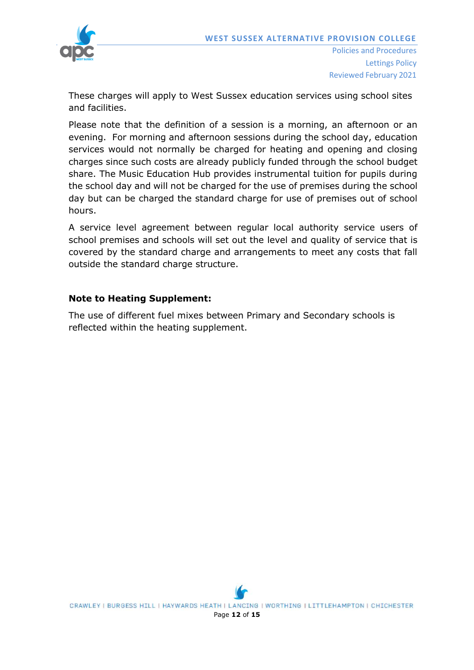

These charges will apply to West Sussex education services using school sites and facilities.

Please note that the definition of a session is a morning, an afternoon or an evening. For morning and afternoon sessions during the school day, education services would not normally be charged for heating and opening and closing charges since such costs are already publicly funded through the school budget share. The Music Education Hub provides instrumental tuition for pupils during the school day and will not be charged for the use of premises during the school day but can be charged the standard charge for use of premises out of school hours.

A service level agreement between regular local authority service users of school premises and schools will set out the level and quality of service that is covered by the standard charge and arrangements to meet any costs that fall outside the standard charge structure.

# **Note to Heating Supplement:**

The use of different fuel mixes between Primary and Secondary schools is reflected within the heating supplement.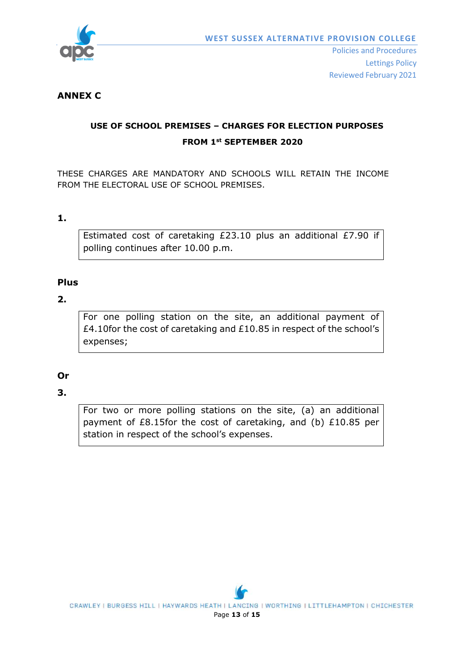

# **ANNEX C**

# **USE OF SCHOOL PREMISES – CHARGES FOR ELECTION PURPOSES FROM 1st SEPTEMBER 2020**

THESE CHARGES ARE MANDATORY AND SCHOOLS WILL RETAIN THE INCOME FROM THE ELECTORAL USE OF SCHOOL PREMISES.

# **1.**

Estimated cost of caretaking £23.10 plus an additional £7.90 if polling continues after 10.00 p.m.

# **Plus**

# **2.**

For one polling station on the site, an additional payment of £4.10for the cost of caretaking and £10.85 in respect of the school's expenses;

# **Or**

# **3.**

For two or more polling stations on the site, (a) an additional payment of £8.15for the cost of caretaking, and (b) £10.85 per station in respect of the school's expenses.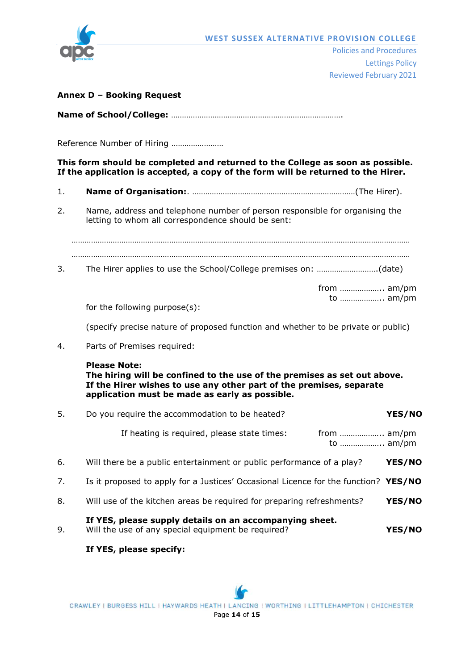

#### **Annex D – Booking Request**

|--|--|

Reference Number of Hiring ……………………

### **This form should be completed and returned to the College as soon as possible. If the application is accepted, a copy of the form will be returned to the Hirer.**

- 1. **Name of Organisation:**. …………………………………………………………………(The Hirer).
- 2. Name, address and telephone number of person responsible for organising the letting to whom all correspondence should be sent:

………………………………………………………………………………………………………………………………………… …………………………………………………………………………………………………………………………………………

3. The Hirer applies to use the School/College premises on: ……………………….(date)

from ……………….. am/pm to ……………….. am/pm

for the following purpose(s):

(specify precise nature of proposed function and whether to be private or public)

4. Parts of Premises required:

#### **Please Note:**

**The hiring will be confined to the use of the premises as set out above. If the Hirer wishes to use any other part of the premises, separate application must be made as early as possible.**

| 5. | Do you require the accommodation to be heated?                                                                | YES/NO        |
|----|---------------------------------------------------------------------------------------------------------------|---------------|
|    | If heating is required, please state times:<br>to  am/pm                                                      |               |
| 6. | Will there be a public entertainment or public performance of a play?                                         | <b>YES/NO</b> |
| 7. | Is it proposed to apply for a Justices' Occasional Licence for the function? YES/NO                           |               |
| 8. | Will use of the kitchen areas be required for preparing refreshments?                                         | YES/NO        |
| 9. | If YES, please supply details on an accompanying sheet.<br>Will the use of any special equipment be required? | <b>YES/NO</b> |

## **If YES, please specify:**